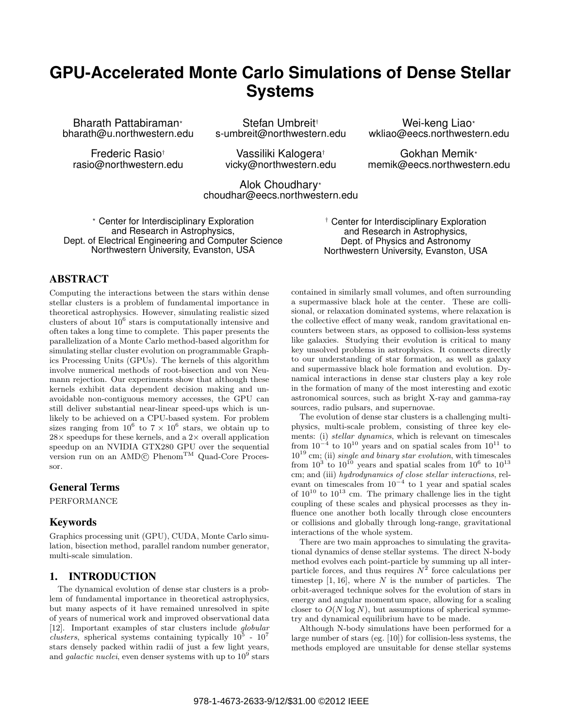# **GPU-Accelerated Monte Carlo Simulations of Dense Stellar Systems**

Bharath Pattabiraman\* Stefan Umbreit<sup>†</sup> Wei-keng Liao\* Stefan Umbreit<br>bharath@u.northwestern.edu s-umbreit@northwestern.edu wkliao@eecs.northweste

Frederic Rasio† Vassiliki Kalogera† Gokhan Memik? rasio@northwestern.edu vicky@northwestern.edu memik@eecs.northwestern.edu

> Alok Choudhary? choudhar@eecs.northwestern.edu

? Center for Interdisciplinary Exploration and Research in Astrophysics, Dept. of Electrical Engineering and Computer Science Northwestern University, Evanston, USA

† Center for Interdisciplinary Exploration and Research in Astrophysics, Dept. of Physics and Astronomy Northwestern University, Evanston, USA

wkliao@eecs.northwestern.edu

#### ABSTRACT

Computing the interactions between the stars within dense stellar clusters is a problem of fundamental importance in theoretical astrophysics. However, simulating realistic sized clusters of about  $10^6$  stars is computationally intensive and often takes a long time to complete. This paper presents the parallelization of a Monte Carlo method-based algorithm for simulating stellar cluster evolution on programmable Graphics Processing Units (GPUs). The kernels of this algorithm involve numerical methods of root-bisection and von Neumann rejection. Our experiments show that although these kernels exhibit data dependent decision making and unavoidable non-contiguous memory accesses, the GPU can still deliver substantial near-linear speed-ups which is unlikely to be achieved on a CPU-based system. For problem sizes ranging from  $10^6$  to  $7 \times 10^6$  stars, we obtain up to  $28\times$  speedups for these kernels, and a  $2\times$  overall application speedup on an NVIDIA GTX280 GPU over the sequential version run on an AMDC Phenom<sup>TM</sup> Quad-Core Processor.

# General Terms

PERFORMANCE

# Keywords

Graphics processing unit (GPU), CUDA, Monte Carlo simulation, bisection method, parallel random number generator, multi-scale simulation.

# 1. INTRODUCTION

The dynamical evolution of dense star clusters is a problem of fundamental importance in theoretical astrophysics, but many aspects of it have remained unresolved in spite of years of numerical work and improved observational data [12]. Important examples of star clusters include globular *clusters*, spherical systems containing typically  $10^5$  -  $10^7$ stars densely packed within radii of just a few light years, and *galactic nuclei*, even denser systems with up to  $10^9$  stars

contained in similarly small volumes, and often surrounding a supermassive black hole at the center. These are collisional, or relaxation dominated systems, where relaxation is the collective effect of many weak, random gravitational encounters between stars, as opposed to collision-less systems like galaxies. Studying their evolution is critical to many key unsolved problems in astrophysics. It connects directly to our understanding of star formation, as well as galaxy and supermassive black hole formation and evolution. Dynamical interactions in dense star clusters play a key role in the formation of many of the most interesting and exotic astronomical sources, such as bright X-ray and gamma-ray sources, radio pulsars, and supernovae.

The evolution of dense star clusters is a challenging multiphysics, multi-scale problem, consisting of three key elements: (i) stellar dynamics, which is relevant on timescales from  $10^{-4}$  to  $10^{10}$  years and on spatial scales from  $10^{11}$  to  $10^{19}$  cm; (ii) single and binary star evolution, with timescales from  $10^3$  to  $10^{10}$  years and spatial scales from  $10^6$  to  $10^{13}$ cm; and (iii) hydrodynamics of close stellar interactions, relevant on timescales from  $10^{-4}$  to 1 year and spatial scales of  $10^{10}$  to  $10^{13}$  cm. The primary challenge lies in the tight coupling of these scales and physical processes as they influence one another both locally through close encounters or collisions and globally through long-range, gravitational interactions of the whole system.

There are two main approaches to simulating the gravitational dynamics of dense stellar systems. The direct N-body method evolves each point-particle by summing up all interparticle forces, and thus requires  $N^2$  force calculations per timestep  $[1, 16]$ , where N is the number of particles. The orbit-averaged technique solves for the evolution of stars in energy and angular momentum space, allowing for a scaling closer to  $O(N \log N)$ , but assumptions of spherical symmetry and dynamical equilibrium have to be made.

Although N-body simulations have been performed for a large number of stars (eg. [10]) for collision-less systems, the methods employed are unsuitable for dense stellar systems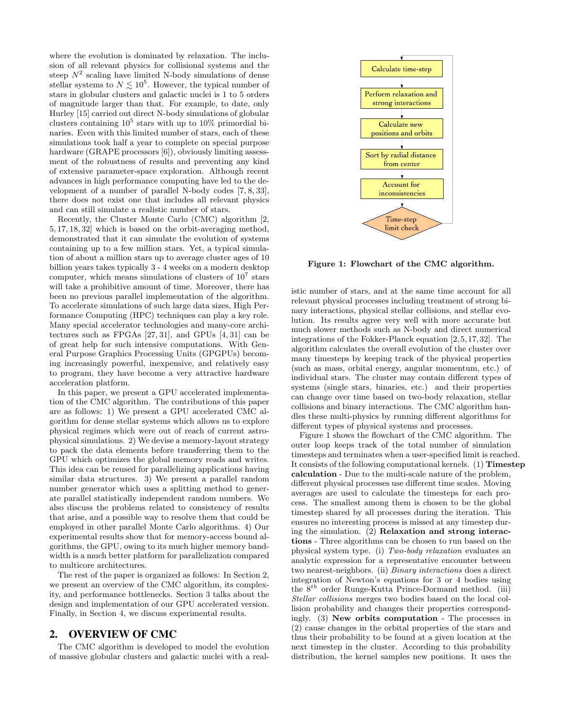where the evolution is dominated by relaxation. The inclusion of all relevant physics for collisional systems and the steep  $N^2$  scaling have limited N-body simulations of dense stellar systems to  $N \lesssim 10^5$ . However, the typical number of stars in globular clusters and galactic nuclei is 1 to 5 orders of magnitude larger than that. For example, to date, only Hurley [15] carried out direct N-body simulations of globular clusters containing  $10^5$  stars with up to  $10\%$  primordial binaries. Even with this limited number of stars, each of these simulations took half a year to complete on special purpose hardware (GRAPE processors [6]), obviously limiting assessment of the robustness of results and preventing any kind of extensive parameter-space exploration. Although recent advances in high performance computing have led to the development of a number of parallel N-body codes [7, 8, 33], there does not exist one that includes all relevant physics and can still simulate a realistic number of stars.

Recently, the Cluster Monte Carlo (CMC) algorithm [2, 5, 17, 18, 32] which is based on the orbit-averaging method, demonstrated that it can simulate the evolution of systems containing up to a few million stars. Yet, a typical simulation of about a million stars up to average cluster ages of 10 billion years takes typically 3 - 4 weeks on a modern desktop computer, which means simulations of clusters of  $10^7$  stars will take a prohibitive amount of time. Moreover, there has been no previous parallel implementation of the algorithm. To accelerate simulations of such large data sizes, High Performance Computing (HPC) techniques can play a key role. Many special accelerator technologies and many-core architectures such as FPGAs [27, 31], and GPUs [4, 31] can be of great help for such intensive computations. With General Purpose Graphics Processing Units (GPGPUs) becoming increasingly powerful, inexpensive, and relatively easy to program, they have become a very attractive hardware acceleration platform.

In this paper, we present a GPU accelerated implementation of the CMC algorithm. The contributions of this paper are as follows: 1) We present a GPU accelerated CMC algorithm for dense stellar systems which allows us to explore physical regimes which were out of reach of current astrophysical simulations. 2) We devise a memory-layout strategy to pack the data elements before transferring them to the GPU which optimizes the global memory reads and writes. This idea can be reused for parallelizing applications having similar data structures. 3) We present a parallel random number generator which uses a splitting method to generate parallel statistically independent random numbers. We also discuss the problems related to consistency of results that arise, and a possible way to resolve them that could be employed in other parallel Monte Carlo algorithms. 4) Our experimental results show that for memory-access bound algorithms, the GPU, owing to its much higher memory bandwidth is a much better platform for parallelization compared to multicore architectures.

The rest of the paper is organized as follows: In Section 2, we present an overview of the CMC algorithm, its complexity, and performance bottlenecks. Section 3 talks about the design and implementation of our GPU accelerated version. Finally, in Section 4, we discuss experimental results.

#### 2. OVERVIEW OF CMC

The CMC algorithm is developed to model the evolution of massive globular clusters and galactic nuclei with a real-



Figure 1: Flowchart of the CMC algorithm.

istic number of stars, and at the same time account for all relevant physical processes including treatment of strong binary interactions, physical stellar collisions, and stellar evolution. Its results agree very well with more accurate but much slower methods such as N-body and direct numerical integrations of the Fokker-Planck equation [2, 5, 17, 32]. The algorithm calculates the overall evolution of the cluster over many timesteps by keeping track of the physical properties (such as mass, orbital energy, angular momentum, etc.) of individual stars. The cluster may contain different types of systems (single stars, binaries, etc.) and their properties can change over time based on two-body relaxation, stellar collisions and binary interactions. The CMC algorithm handles these multi-physics by running different algorithms for different types of physical systems and processes.

Figure 1 shows the flowchart of the CMC algorithm. The outer loop keeps track of the total number of simulation timesteps and terminates when a user-specified limit is reached. It consists of the following computational kernels. (1) Timestep calculation - Due to the multi-scale nature of the problem, different physical processes use different time scales. Moving averages are used to calculate the timesteps for each process. The smallest among them is chosen to be the global timestep shared by all processes during the iteration. This ensures no interesting process is missed at any timestep during the simulation. (2) Relaxation and strong interactions - Three algorithms can be chosen to run based on the physical system type. (i) Two-body relaxation evaluates an analytic expression for a representative encounter between two nearest-neighbors. (ii) Binary interactions does a direct integration of Newton's equations for 3 or 4 bodies using the  $8^{th}$  order Runge-Kutta Prince-Dormand method. (iii) Stellar collisions merges two bodies based on the local collision probability and changes their properties correspondingly. (3) New orbits computation - The processes in (2) cause changes in the orbital properties of the stars and thus their probability to be found at a given location at the next timestep in the cluster. According to this probability distribution, the kernel samples new positions. It uses the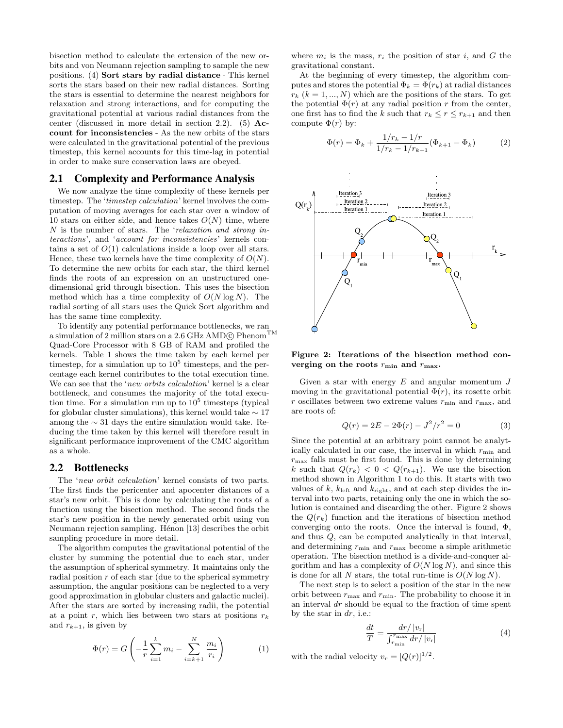bisection method to calculate the extension of the new orbits and von Neumann rejection sampling to sample the new positions. (4) Sort stars by radial distance - This kernel sorts the stars based on their new radial distances. Sorting the stars is essential to determine the nearest neighbors for relaxation and strong interactions, and for computing the gravitational potential at various radial distances from the center (discussed in more detail in section 2.2). (5)  $Ac$ count for inconsistencies - As the new orbits of the stars were calculated in the gravitational potential of the previous timestep, this kernel accounts for this time-lag in potential in order to make sure conservation laws are obeyed.

#### 2.1 Complexity and Performance Analysis

We now analyze the time complexity of these kernels per timestep. The 'timestep calculation' kernel involves the computation of moving averages for each star over a window of 10 stars on either side, and hence takes  $O(N)$  time, where N is the number of stars. The 'relaxation and strong interactions', and 'account for inconsistencies' kernels contains a set of  $O(1)$  calculations inside a loop over all stars. Hence, these two kernels have the time complexity of  $O(N)$ . To determine the new orbits for each star, the third kernel finds the roots of an expression on an unstructured onedimensional grid through bisection. This uses the bisection method which has a time complexity of  $O(N \log N)$ . The radial sorting of all stars uses the Quick Sort algorithm and has the same time complexity.

To identify any potential performance bottlenecks, we ran a simulation of 2 million stars on a 2.6 GHz AMD@  $\rm Phenom^{\rm TM}$ Quad-Core Processor with 8 GB of RAM and profiled the kernels. Table 1 shows the time taken by each kernel per timestep, for a simulation up to  $10<sup>5</sup>$  timesteps, and the percentage each kernel contributes to the total execution time. We can see that the 'new orbits calculation' kernel is a clear bottleneck, and consumes the majority of the total execution time. For a simulation run up to  $10<sup>5</sup>$  timesteps (typical for globular cluster simulations), this kernel would take  $\sim 17$ among the ∼ 31 days the entire simulation would take. Reducing the time taken by this kernel will therefore result in significant performance improvement of the CMC algorithm as a whole.

#### 2.2 Bottlenecks

The 'new orbit calculation' kernel consists of two parts. The first finds the pericenter and apocenter distances of a star's new orbit. This is done by calculating the roots of a function using the bisection method. The second finds the star's new position in the newly generated orbit using von Neumann rejection sampling. Hénon [13] describes the orbit sampling procedure in more detail.

The algorithm computes the gravitational potential of the cluster by summing the potential due to each star, under the assumption of spherical symmetry. It maintains only the radial position  $r$  of each star (due to the spherical symmetry assumption, the angular positions can be neglected to a very good approximation in globular clusters and galactic nuclei). After the stars are sorted by increasing radii, the potential at a point r, which lies between two stars at positions  $r_k$ and  $r_{k+1}$ , is given by

$$
\Phi(r) = G\left(-\frac{1}{r}\sum_{i=1}^{k} m_i - \sum_{i=k+1}^{N} \frac{m_i}{r_i}\right) \tag{1}
$$

where  $m_i$  is the mass,  $r_i$  the position of star i, and G the gravitational constant.

At the beginning of every timestep, the algorithm computes and stores the potential  $\Phi_k = \Phi(r_k)$  at radial distances  $r_k$   $(k = 1, ..., N)$  which are the positions of the stars. To get the potential  $\Phi(r)$  at any radial position r from the center, one first has to find the k such that  $r_k \leq r \leq r_{k+1}$  and then compute  $\Phi(r)$  by:

$$
\Phi(r) = \Phi_k + \frac{1/r_k - 1/r}{1/r_k - 1/r_{k+1}} (\Phi_{k+1} - \Phi_k)
$$
 (2)



Figure 2: Iterations of the bisection method converging on the roots  $r_{\min}$  and  $r_{\max}$ .

Given a star with energy  $E$  and angular momentum  $J$ moving in the gravitational potential  $\Phi(r)$ , its rosette orbit r oscillates between two extreme values  $r_{\min}$  and  $r_{\max}$ , and are roots of:

$$
Q(r) = 2E - 2\Phi(r) - J^2/r^2 = 0
$$
 (3)

Since the potential at an arbitrary point cannot be analytically calculated in our case, the interval in which  $r_{\min}$  and  $r_{\text{max}}$  falls must be first found. This is done by determining k such that  $Q(r_k) < 0 < Q(r_{k+1})$ . We use the bisection method shown in Algorithm 1 to do this. It starts with two values of  $k$ ,  $k_{\text{left}}$  and  $k_{\text{right}}$ , and at each step divides the interval into two parts, retaining only the one in which the solution is contained and discarding the other. Figure 2 shows the  $Q(r_k)$  function and the iterations of bisection method converging onto the roots. Once the interval is found, Φ, and thus Q, can be computed analytically in that interval, and determining  $r_{\min}$  and  $r_{\max}$  become a simple arithmetic operation. The bisection method is a divide-and-conquer algorithm and has a complexity of  $O(N \log N)$ , and since this is done for all N stars, the total run-time is  $O(N \log N)$ .

The next step is to select a position of the star in the new orbit between  $r_{\text{max}}$  and  $r_{\text{min}}$ . The probability to choose it in an interval  $dr$  should be equal to the fraction of time spent by the star in  $dr$ , i.e.:

$$
\frac{dt}{T} = \frac{dr/|v_r|}{\int_{r_{\rm min}}^{r_{\rm max}} dr/|v_r|} \tag{4}
$$

with the radial velocity  $v_r = [Q(r)]^{1/2}$ .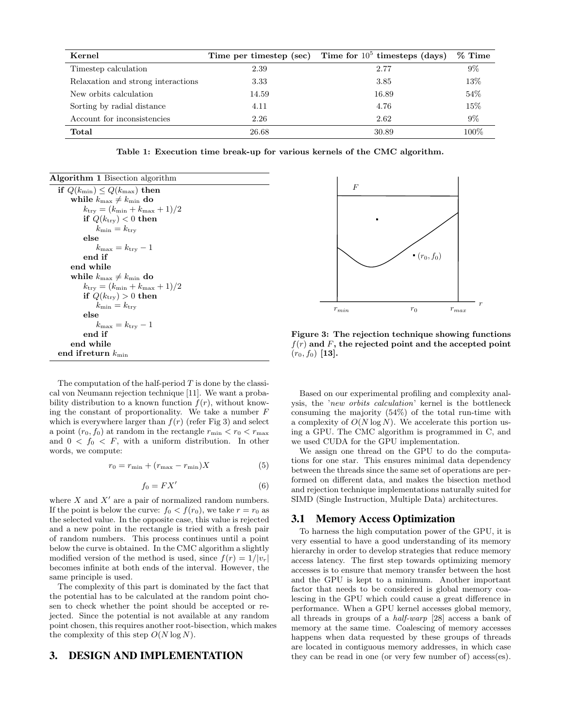| Kernel                             | Time per timestep (sec) | Time for $10^5$ timesteps (days) | $%$ Time |
|------------------------------------|-------------------------|----------------------------------|----------|
| Timestep calculation               | 2.39                    | 2.77                             | $9\%$    |
| Relaxation and strong interactions | 3.33                    | 3.85                             | 13%      |
| New orbits calculation             | 14.59                   | 16.89                            | 54\%     |
| Sorting by radial distance         | 4.11                    | 4.76                             | 15%      |
| Account for inconsistencies        | 2.26                    | 2.62                             | $9\%$    |
| Total                              | 26.68                   | 30.89                            | 100\%    |

Table 1: Execution time break-up for various kernels of the CMC algorithm.

| <b>Algorithm 1</b> Bisection algorithm            |
|---------------------------------------------------|
| if $Q(k_{\min}) \leq Q(k_{\max})$ then            |
| while $k_{\max} \neq k_{\min}$ do                 |
| $k_{\rm trv} = (k_{\rm min} + k_{\rm max} + 1)/2$ |
| if $Q(k_{\rm trv}) < 0$ then                      |
| $k_{\min} = k_{\text{trv}}$                       |
| else                                              |
| $k_{\text{max}} = k_{\text{trv}} - 1$             |
| end if                                            |
| end while                                         |
| while $k_{\text{max}} \neq k_{\text{min}}$ do     |
| $k_{\rm try} = (k_{\rm min} + k_{\rm max} + 1)/2$ |
| if $Q(k_{\text{trv}}) > 0$ then                   |
| $k_{\min} = k_{\text{try}}$                       |
| else                                              |
| $k_{\text{max}} = k_{\text{trv}} - 1$             |
| end if                                            |
| end while                                         |
| end ifreturn $k_{\min}$                           |

The computation of the half-period  $T$  is done by the classical von Neumann rejection technique [11]. We want a probability distribution to a known function  $f(r)$ , without knowing the constant of proportionality. We take a number  $F$ which is everywhere larger than  $f(r)$  (refer Fig 3) and select a point  $(r_0, f_0)$  at random in the rectangle  $r_{\min} < r_0 < r_{\max}$ and  $0 < f_0 < F$ , with a uniform distribution. In other words, we compute:

$$
r_0 = r_{\min} + (r_{\max} - r_{\min})X \tag{5}
$$

$$
f_0 = FX'
$$
 (6)

where  $X$  and  $X'$  are a pair of normalized random numbers. If the point is below the curve:  $f_0 < f(r_0)$ , we take  $r = r_0$  as the selected value. In the opposite case, this value is rejected and a new point in the rectangle is tried with a fresh pair of random numbers. This process continues until a point below the curve is obtained. In the CMC algorithm a slightly modified version of the method is used, since  $f(r) = 1/|v_r|$ becomes infinite at both ends of the interval. However, the same principle is used.

The complexity of this part is dominated by the fact that the potential has to be calculated at the random point chosen to check whether the point should be accepted or rejected. Since the potential is not available at any random point chosen, this requires another root-bisection, which makes the complexity of this step  $O(N \log N)$ .

#### 3. DESIGN AND IMPLEMENTATION



Figure 3: The rejection technique showing functions  $f(r)$  and F, the rejected point and the accepted point  $(r_0, f_0)$  [13].

Based on our experimental profiling and complexity analysis, the 'new orbits calculation' kernel is the bottleneck consuming the majority (54%) of the total run-time with a complexity of  $O(N \log N)$ . We accelerate this portion using a GPU. The CMC algorithm is programmed in C, and we used CUDA for the GPU implementation.

We assign one thread on the GPU to do the computations for one star. This ensures minimal data dependency between the threads since the same set of operations are performed on different data, and makes the bisection method and rejection technique implementations naturally suited for SIMD (Single Instruction, Multiple Data) architectures.

#### 3.1 Memory Access Optimization

To harness the high computation power of the GPU, it is very essential to have a good understanding of its memory hierarchy in order to develop strategies that reduce memory access latency. The first step towards optimizing memory accesses is to ensure that memory transfer between the host and the GPU is kept to a minimum. Another important factor that needs to be considered is global memory coalescing in the GPU which could cause a great difference in performance. When a GPU kernel accesses global memory, all threads in groups of a half-warp [28] access a bank of memory at the same time. Coalescing of memory accesses happens when data requested by these groups of threads are located in contiguous memory addresses, in which case they can be read in one (or very few number of) access(es).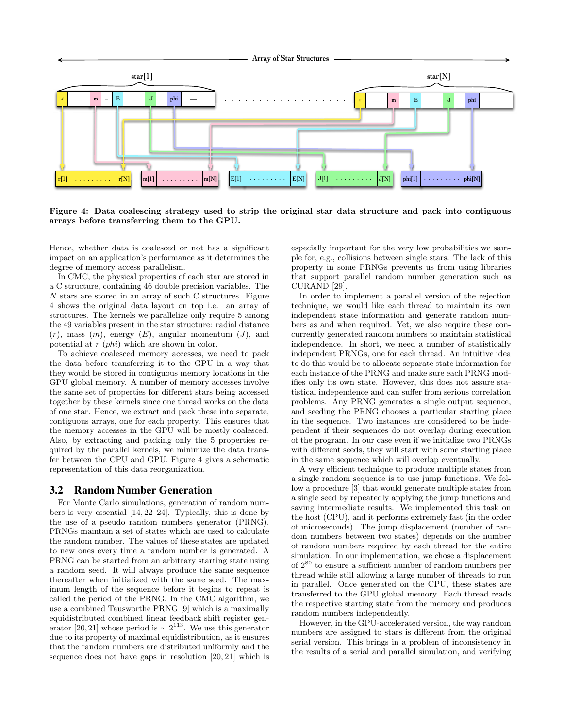

Figure 4: Data coalescing strategy used to strip the original star data structure and pack into contiguous arrays before transferring them to the GPU.

Hence, whether data is coalesced or not has a significant impact on an application's performance as it determines the degree of memory access parallelism.

In CMC, the physical properties of each star are stored in a C structure, containing 46 double precision variables. The N stars are stored in an array of such C structures. Figure 4 shows the original data layout on top i.e. an array of structures. The kernels we parallelize only require 5 among the 49 variables present in the star structure: radial distance  $(r)$ , mass  $(m)$ , energy  $(E)$ , angular momentum  $(J)$ , and potential at  $r$  ( $phi$ ) which are shown in color.

To achieve coalesced memory accesses, we need to pack the data before transferring it to the GPU in a way that they would be stored in contiguous memory locations in the GPU global memory. A number of memory accesses involve the same set of properties for different stars being accessed together by these kernels since one thread works on the data of one star. Hence, we extract and pack these into separate, contiguous arrays, one for each property. This ensures that the memory accesses in the GPU will be mostly coalesced. Also, by extracting and packing only the 5 properties required by the parallel kernels, we minimize the data transfer between the CPU and GPU. Figure 4 gives a schematic representation of this data reorganization.

# 3.2 Random Number Generation

For Monte Carlo simulations, generation of random numbers is very essential [14, 22–24]. Typically, this is done by the use of a pseudo random numbers generator (PRNG). PRNGs maintain a set of states which are used to calculate the random number. The values of these states are updated to new ones every time a random number is generated. A PRNG can be started from an arbitrary starting state using a random seed. It will always produce the same sequence thereafter when initialized with the same seed. The maximum length of the sequence before it begins to repeat is called the period of the PRNG. In the CMC algorithm, we use a combined Tausworthe PRNG [9] which is a maximally equidistributed combined linear feedback shift register generator [20,21] whose period is  $\sim 2^{113}$ . We use this generator due to its property of maximal equidistribution, as it ensures that the random numbers are distributed uniformly and the sequence does not have gaps in resolution [20, 21] which is especially important for the very low probabilities we sample for, e.g., collisions between single stars. The lack of this property in some PRNGs prevents us from using libraries that support parallel random number generation such as CURAND [29].

In order to implement a parallel version of the rejection technique, we would like each thread to maintain its own independent state information and generate random numbers as and when required. Yet, we also require these concurrently generated random numbers to maintain statistical independence. In short, we need a number of statistically independent PRNGs, one for each thread. An intuitive idea to do this would be to allocate separate state information for each instance of the PRNG and make sure each PRNG modifies only its own state. However, this does not assure statistical independence and can suffer from serious correlation problems. Any PRNG generates a single output sequence, and seeding the PRNG chooses a particular starting place in the sequence. Two instances are considered to be independent if their sequences do not overlap during execution of the program. In our case even if we initialize two PRNGs with different seeds, they will start with some starting place in the same sequence which will overlap eventually.

A very efficient technique to produce multiple states from a single random sequence is to use jump functions. We follow a procedure [3] that would generate multiple states from a single seed by repeatedly applying the jump functions and saving intermediate results. We implemented this task on the host (CPU), and it performs extremely fast (in the order of microseconds). The jump displacement (number of random numbers between two states) depends on the number of random numbers required by each thread for the entire simulation. In our implementation, we chose a displacement of  $2^{80}$  to ensure a sufficient number of random numbers per thread while still allowing a large number of threads to run in parallel. Once generated on the CPU, these states are transferred to the GPU global memory. Each thread reads the respective starting state from the memory and produces random numbers independently.

However, in the GPU-accelerated version, the way random numbers are assigned to stars is different from the original serial version. This brings in a problem of inconsistency in the results of a serial and parallel simulation, and verifying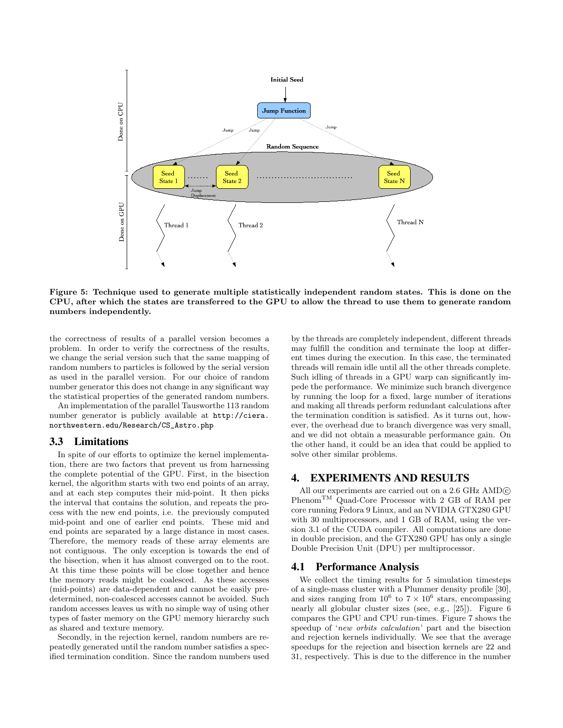

Figure 5: Technique used to generate multiple statistically independent random states. This is done on the CPU, after which the states are transferred to the GPU to allow the thread to use them to generate random numbers independently.

the correctness of results of a parallel version becomes a problem. In order to verify the correctness of the results, we change the serial version such that the same mapping of random numbers to particles is followed by the serial version as used in the parallel version. For our choice of random number generator this does not change in any significant way the statistical properties of the generated random numbers.

An implementation of the parallel Tausworthe 113 random number generator is publicly available at http://ciera. northwestern.edu/Research/CS\_Astro.php

# 3.3 Limitations

In spite of our efforts to optimize the kernel implementation, there are two factors that prevent us from harnessing the complete potential of the GPU. First, in the bisection kernel, the algorithm starts with two end points of an array, and at each step computes their mid-point. It then picks the interval that contains the solution, and repeats the process with the new end points, i.e. the previously computed mid-point and one of earlier end points. These mid and end points are separated by a large distance in most cases. Therefore, the memory reads of these array elements are not contiguous. The only exception is towards the end of the bisection, when it has almost converged on to the root. At this time these points will be close together and hence the memory reads might be coalesced. As these accesses (mid-points) are data-dependent and cannot be easily predetermined, non-coalesced accesses cannot be avoided. Such random accesses leaves us with no simple way of using other types of faster memory on the GPU memory hierarchy such as shared and texture memory.

Secondly, in the rejection kernel, random numbers are repeatedly generated until the random number satisfies a specified termination condition. Since the random numbers used by the threads are completely independent, different threads may fulfill the condition and terminate the loop at different times during the execution. In this case, the terminated threads will remain idle until all the other threads complete. Such idling of threads in a GPU warp can significantly impede the performance. We minimize such branch divergence by running the loop for a fixed, large number of iterations and making all threads perform redundant calculations after the termination condition is satisfied. As it turns out, however, the overhead due to branch divergence was very small, and we did not obtain a measurable performance gain. On the other hand, it could be an idea that could be applied to solve other similar problems.

#### 4. EXPERIMENTS AND RESULTS

All our experiments are carried out on a 2.6 GHz AMD<sub>(C)</sub> Phenom<sup>TM</sup> Quad-Core Processor with 2 GB of RAM per core running Fedora 9 Linux, and an NVIDIA GTX280 GPU with 30 multiprocessors, and 1 GB of RAM, using the version 3.1 of the CUDA compiler. All computations are done in double precision, and the GTX280 GPU has only a single Double Precision Unit (DPU) per multiprocessor.

#### 4.1 Performance Analysis

We collect the timing results for 5 simulation timesteps of a single-mass cluster with a Plummer density profile [30], and sizes ranging from  $10^6$  to  $7 \times 10^6$  stars, encompassing nearly all globular cluster sizes (see, e.g., [25]). Figure 6 compares the GPU and CPU run-times. Figure 7 shows the speedup of 'new orbits calculation' part and the bisection and rejection kernels individually. We see that the average speedups for the rejection and bisection kernels are 22 and 31, respectively. This is due to the difference in the number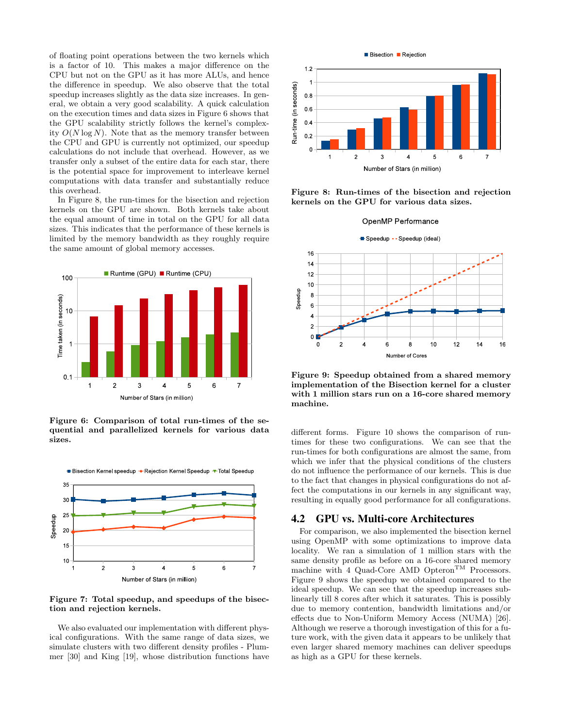of floating point operations between the two kernels which is a factor of 10. This makes a major difference on the CPU but not on the GPU as it has more ALUs, and hence the difference in speedup. We also observe that the total speedup increases slightly as the data size increases. In general, we obtain a very good scalability. A quick calculation on the execution times and data sizes in Figure 6 shows that the GPU scalability strictly follows the kernel's complexity  $O(N \log N)$ . Note that as the memory transfer between the CPU and GPU is currently not optimized, our speedup calculations do not include that overhead. However, as we transfer only a subset of the entire data for each star, there is the potential space for improvement to interleave kernel computations with data transfer and substantially reduce this overhead.

In Figure 8, the run-times for the bisection and rejection kernels on the GPU are shown. Both kernels take about the equal amount of time in total on the GPU for all data sizes. This indicates that the performance of these kernels is limited by the memory bandwidth as they roughly require the same amount of global memory accesses.



Figure 6: Comparison of total run-times of the sequential and parallelized kernels for various data sizes.



Figure 7: Total speedup, and speedups of the bisection and rejection kernels.

We also evaluated our implementation with different physical configurations. With the same range of data sizes, we simulate clusters with two different density profiles - Plummer [30] and King [19], whose distribution functions have



Figure 8: Run-times of the bisection and rejection kernels on the GPU for various data sizes.

#### OpenMP Performance



Figure 9: Speedup obtained from a shared memory implementation of the Bisection kernel for a cluster with 1 million stars run on a 16-core shared memory machine.

different forms. Figure 10 shows the comparison of runtimes for these two configurations. We can see that the run-times for both configurations are almost the same, from which we infer that the physical conditions of the clusters do not influence the performance of our kernels. This is due to the fact that changes in physical configurations do not affect the computations in our kernels in any significant way, resulting in equally good performance for all configurations.

#### 4.2 GPU vs. Multi-core Architectures

For comparison, we also implemented the bisection kernel using OpenMP with some optimizations to improve data locality. We ran a simulation of 1 million stars with the same density profile as before on a 16-core shared memory machine with 4 Quad-Core AMD Opteron<sup>TM</sup> Processors. Figure 9 shows the speedup we obtained compared to the ideal speedup. We can see that the speedup increases sublinearly till 8 cores after which it saturates. This is possibly due to memory contention, bandwidth limitations and/or effects due to Non-Uniform Memory Access (NUMA) [26]. Although we reserve a thorough investigation of this for a future work, with the given data it appears to be unlikely that even larger shared memory machines can deliver speedups as high as a GPU for these kernels.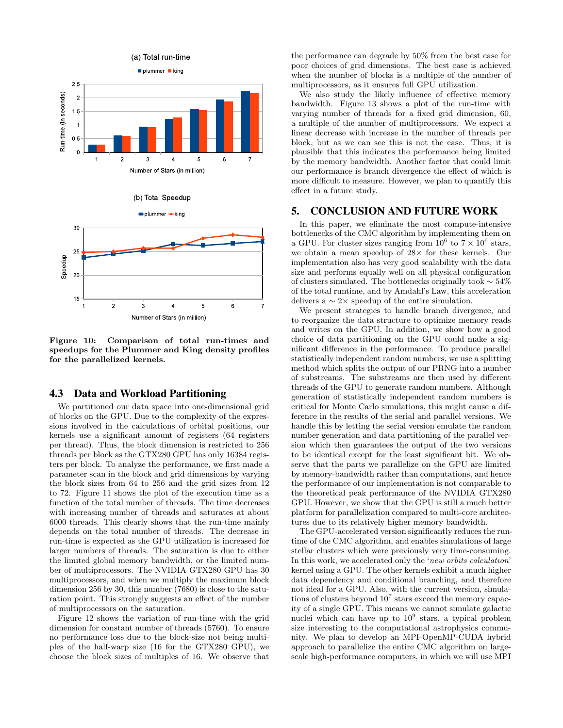

Figure 10: Comparison of total run-times and speedups for the Plummer and King density profiles for the parallelized kernels.

#### 4.3 Data and Workload Partitioning

We partitioned our data space into one-dimensional grid of blocks on the GPU. Due to the complexity of the expressions involved in the calculations of orbital positions, our kernels use a significant amount of registers (64 registers per thread). Thus, the block dimension is restricted to 256 threads per block as the GTX280 GPU has only 16384 registers per block. To analyze the performance, we first made a parameter scan in the block and grid dimensions by varying the block sizes from 64 to 256 and the grid sizes from 12 to 72. Figure 11 shows the plot of the execution time as a function of the total number of threads. The time decreases with increasing number of threads and saturates at about 6000 threads. This clearly shows that the run-time mainly depends on the total number of threads. The decrease in run-time is expected as the GPU utilization is increased for larger numbers of threads. The saturation is due to either the limited global memory bandwidth, or the limited number of multiprocessors. The NVIDIA GTX280 GPU has 30 multiprocessors, and when we multiply the maximum block dimension 256 by 30, this number (7680) is close to the saturation point. This strongly suggests an effect of the number of multiprocessors on the saturation.

Figure 12 shows the variation of run-time with the grid dimension for constant number of threads (5760). To ensure no performance loss due to the block-size not being multiples of the half-warp size (16 for the GTX280 GPU), we choose the block sizes of multiples of 16. We observe that the performance can degrade by 50% from the best case for poor choices of grid dimensions. The best case is achieved when the number of blocks is a multiple of the number of multiprocessors, as it ensures full GPU utilization.

We also study the likely influence of effective memory bandwidth. Figure 13 shows a plot of the run-time with varying number of threads for a fixed grid dimension, 60, a multiple of the number of multiprocessors. We expect a linear decrease with increase in the number of threads per block, but as we can see this is not the case. Thus, it is plausible that this indicates the performance being limited by the memory bandwidth. Another factor that could limit our performance is branch divergence the effect of which is more difficult to measure. However, we plan to quantify this effect in a future study.

#### 5. CONCLUSION AND FUTURE WORK

In this paper, we eliminate the most compute-intensive bottlenecks of the CMC algorithm by implementing them on a GPU. For cluster sizes ranging from  $10^6$  to  $7 \times 10^6$  stars, we obtain a mean speedup of 28× for these kernels. Our implementation also has very good scalability with the data size and performs equally well on all physical configuration of clusters simulated. The bottlenecks originally took ∼ 54% of the total runtime, and by Amdahl's Law, this acceleration delivers a  $\sim$  2× speedup of the entire simulation.

We present strategies to handle branch divergence, and to reorganize the data structure to optimize memory reads and writes on the GPU. In addition, we show how a good choice of data partitioning on the GPU could make a significant difference in the performance. To produce parallel statistically independent random numbers, we use a splitting method which splits the output of our PRNG into a number of substreams. The substreams are then used by different threads of the GPU to generate random numbers. Although generation of statistically independent random numbers is critical for Monte Carlo simulations, this might cause a difference in the results of the serial and parallel versions. We handle this by letting the serial version emulate the random number generation and data partitioning of the parallel version which then guarantees the output of the two versions to be identical except for the least significant bit. We observe that the parts we parallelize on the GPU are limited by memory-bandwidth rather than computations, and hence the performance of our implementation is not comparable to the theoretical peak performance of the NVIDIA GTX280 GPU. However, we show that the GPU is still a much better platform for parallelization compared to multi-core architectures due to its relatively higher memory bandwidth.

The GPU-accelerated version significantly reduces the runtime of the CMC algorithm, and enables simulations of large stellar clusters which were previously very time-consuming. In this work, we accelerated only the 'new orbits calculation' kernel using a GPU. The other kernels exhibit a much higher data dependency and conditional branching, and therefore not ideal for a GPU. Also, with the current version, simulations of clusters beyond  $10^7$  stars exceed the memory capacity of a single GPU. This means we cannot simulate galactic nuclei which can have up to  $10^9$  stars, a typical problem size interesting to the computational astrophysics community. We plan to develop an MPI-OpenMP-CUDA hybrid approach to parallelize the entire CMC algorithm on largescale high-performance computers, in which we will use MPI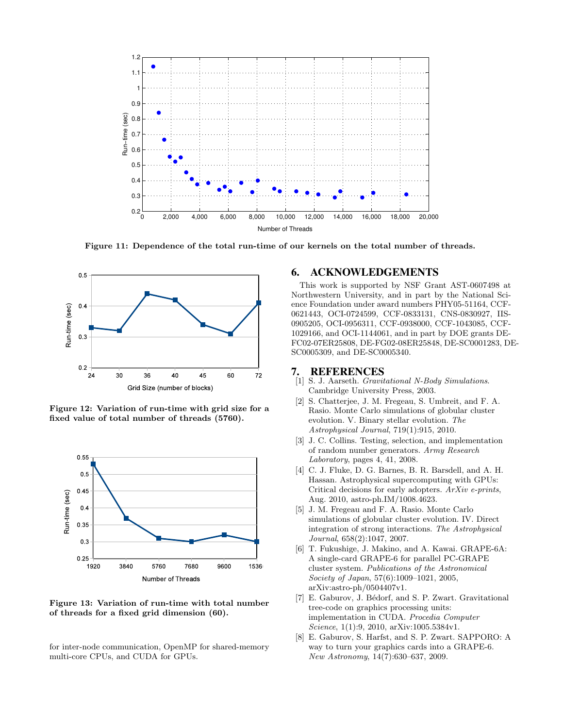

Figure 11: Dependence of the total run-time of our kernels on the total number of threads.



Figure 12: Variation of run-time with grid size for a fixed value of total number of threads (5760).



Figure 13: Variation of run-time with total number of threads for a fixed grid dimension (60).

for inter-node communication, OpenMP for shared-memory multi-core CPUs, and CUDA for GPUs.

# 6. ACKNOWLEDGEMENTS

This work is supported by NSF Grant AST-0607498 at Northwestern University, and in part by the National Science Foundation under award numbers PHY05-51164, CCF-0621443, OCI-0724599, CCF-0833131, CNS-0830927, IIS-0905205, OCI-0956311, CCF-0938000, CCF-1043085, CCF-1029166, and OCI-1144061, and in part by DOE grants DE-FC02-07ER25808, DE-FG02-08ER25848, DE-SC0001283, DE-SC0005309, and DE-SC0005340.

# 7. REFERENCES

- [1] S. J. Aarseth. *Gravitational N-Body Simulations*. Cambridge University Press, 2003.
- [2] S. Chatterjee, J. M. Fregeau, S. Umbreit, and F. A. Rasio. Monte Carlo simulations of globular cluster evolution. V. Binary stellar evolution. The Astrophysical Journal, 719(1):915, 2010.
- [3] J. C. Collins. Testing, selection, and implementation of random number generators. Army Research Laboratory, pages 4, 41, 2008.
- [4] C. J. Fluke, D. G. Barnes, B. R. Barsdell, and A. H. Hassan. Astrophysical supercomputing with GPUs: Critical decisions for early adopters. ArXiv e-prints, Aug. 2010, astro-ph.IM/1008.4623.
- [5] J. M. Fregeau and F. A. Rasio. Monte Carlo simulations of globular cluster evolution. IV. Direct integration of strong interactions. The Astrophysical Journal, 658(2):1047, 2007.
- [6] T. Fukushige, J. Makino, and A. Kawai. GRAPE-6A: A single-card GRAPE-6 for parallel PC-GRAPE cluster system. Publications of the Astronomical Society of Japan, 57(6):1009–1021, 2005, arXiv:astro-ph/0504407v1.
- [7] E. Gaburov, J. Bédorf, and S. P. Zwart. Gravitational tree-code on graphics processing units: implementation in CUDA. Procedia Computer Science, 1(1):9, 2010, arXiv:1005.5384v1.
- [8] E. Gaburov, S. Harfst, and S. P. Zwart. SAPPORO: A way to turn your graphics cards into a GRAPE-6. New Astronomy, 14(7):630–637, 2009.